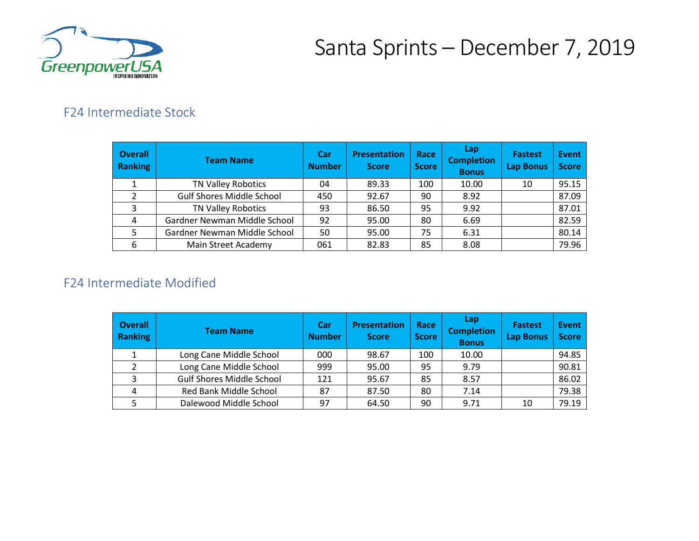

## Santa Sprints – December 7, 2019

### F24 Intermediate Stock

| <b>Overall</b><br>Ranking | <b>Team Name</b>                 | Car<br><b>Number</b> | <b>Presentation</b><br><b>Score</b> | Race<br><b>Score</b> | Lap<br><b>Completion</b><br><b>Bonus</b> | <b>Fastest</b><br><b>Lap Bonus</b> | <b>Event</b><br><b>Score</b> |
|---------------------------|----------------------------------|----------------------|-------------------------------------|----------------------|------------------------------------------|------------------------------------|------------------------------|
|                           | <b>TN Valley Robotics</b>        | 04                   | 89.33                               | 100                  | 10.00                                    | 10                                 | 95.15                        |
| 2                         | <b>Gulf Shores Middle School</b> | 450                  | 92.67                               | 90                   | 8.92                                     |                                    | 87.09                        |
| 3                         | <b>TN Valley Robotics</b>        | 93                   | 86.50                               | 95                   | 9.92                                     |                                    | 87.01                        |
| 4                         | Gardner Newman Middle School     | 92                   | 95.00                               | 80                   | 6.69                                     |                                    | 82.59                        |
| 5                         | Gardner Newman Middle School     | 50                   | 95.00                               | 75                   | 6.31                                     |                                    | 80.14                        |
| 6                         | Main Street Academy              | 061                  | 82.83                               | 85                   | 8.08                                     |                                    | 79.96                        |

#### F24 Intermediate Modified

| <b>Overall</b><br><b>Ranking</b> | <b>Team Name</b>                 | Car<br><b>Number</b> | <b>Presentation</b><br><b>Score</b> | Race<br><b>Score</b> | Lap<br><b>Completion</b><br><b>Bonus</b> | <b>Fastest</b><br>Lap Bonus | Event<br><b>Score</b> |
|----------------------------------|----------------------------------|----------------------|-------------------------------------|----------------------|------------------------------------------|-----------------------------|-----------------------|
|                                  | Long Cane Middle School          | 000                  | 98.67                               | 100                  | 10.00                                    |                             | 94.85                 |
|                                  | Long Cane Middle School          | 999                  | 95.00                               | 95                   | 9.79                                     |                             | 90.81                 |
| $\mathbf{C}$                     | <b>Gulf Shores Middle School</b> | 121                  | 95.67                               | 85                   | 8.57                                     |                             | 86.02                 |
| 4                                | Red Bank Middle School           | 87                   | 87.50                               | 80                   | 7.14                                     |                             | 79.38                 |
|                                  | Dalewood Middle School           | 97                   | 64.50                               | 90                   | 9.71                                     | 10                          | 79.19                 |